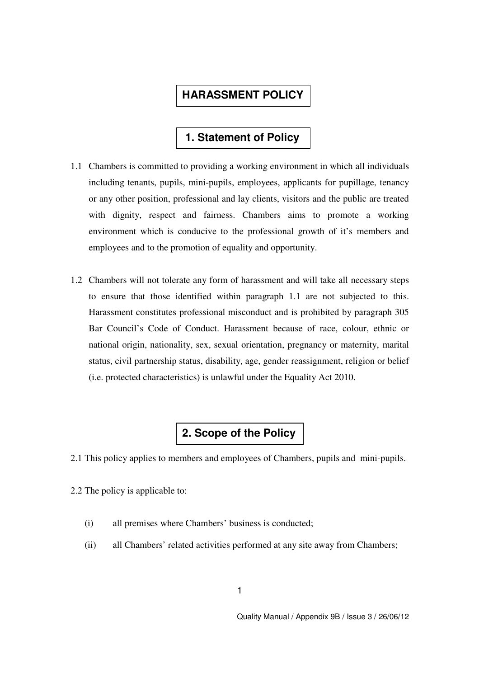## **HARASSMENT POLICY**

#### **1. Statement of Policy**

- 1.1 Chambers is committed to providing a working environment in which all individuals including tenants, pupils, mini-pupils, employees, applicants for pupillage, tenancy or any other position, professional and lay clients, visitors and the public are treated with dignity, respect and fairness. Chambers aims to promote a working environment which is conducive to the professional growth of it's members and employees and to the promotion of equality and opportunity.
- 1.2 Chambers will not tolerate any form of harassment and will take all necessary steps to ensure that those identified within paragraph 1.1 are not subjected to this. Harassment constitutes professional misconduct and is prohibited by paragraph 305 Bar Council's Code of Conduct. Harassment because of race, colour, ethnic or national origin, nationality, sex, sexual orientation, pregnancy or maternity, marital status, civil partnership status, disability, age, gender reassignment, religion or belief (i.e. protected characteristics) is unlawful under the Equality Act 2010.

## **2. Scope of the Policy**

2.1 This policy applies to members and employees of Chambers, pupils and mini-pupils.

- 2.2 The policy is applicable to:
	- (i) all premises where Chambers' business is conducted;
	- (ii) all Chambers' related activities performed at any site away from Chambers;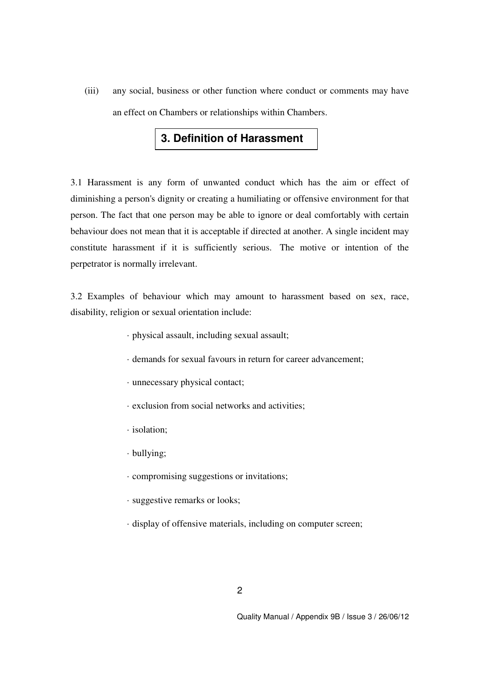(iii) any social, business or other function where conduct or comments may have an effect on Chambers or relationships within Chambers.

## **3. Definition of Harassment**

3.1 Harassment is any form of unwanted conduct which has the aim or effect of diminishing a person's dignity or creating a humiliating or offensive environment for that person. The fact that one person may be able to ignore or deal comfortably with certain behaviour does not mean that it is acceptable if directed at another. A single incident may constitute harassment if it is sufficiently serious. The motive or intention of the perpetrator is normally irrelevant.

3.2 Examples of behaviour which may amount to harassment based on sex, race, disability, religion or sexual orientation include:

- · physical assault, including sexual assault;
- · demands for sexual favours in return for career advancement;
- · unnecessary physical contact;
- · exclusion from social networks and activities;
- · isolation;
- · bullying;
- · compromising suggestions or invitations;
- · suggestive remarks or looks;
- · display of offensive materials, including on computer screen;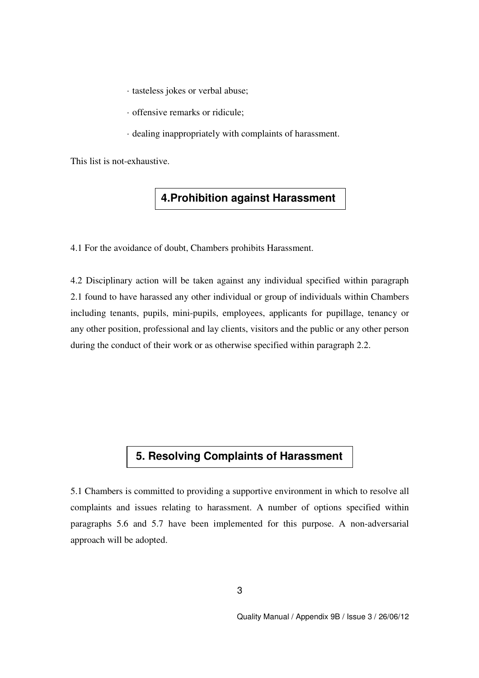- · tasteless jokes or verbal abuse;
- · offensive remarks or ridicule;
- · dealing inappropriately with complaints of harassment.

This list is not-exhaustive.

#### **4.Prohibition against Harassment**

4.1 For the avoidance of doubt, Chambers prohibits Harassment.

4.2 Disciplinary action will be taken against any individual specified within paragraph 2.1 found to have harassed any other individual or group of individuals within Chambers including tenants, pupils, mini-pupils, employees, applicants for pupillage, tenancy or any other position, professional and lay clients, visitors and the public or any other person during the conduct of their work or as otherwise specified within paragraph 2.2.

# **5. Resolving Complaints of Harassment**

5.1 Chambers is committed to providing a supportive environment in which to resolve all complaints and issues relating to harassment. A number of options specified within paragraphs 5.6 and 5.7 have been implemented for this purpose. A non-adversarial approach will be adopted.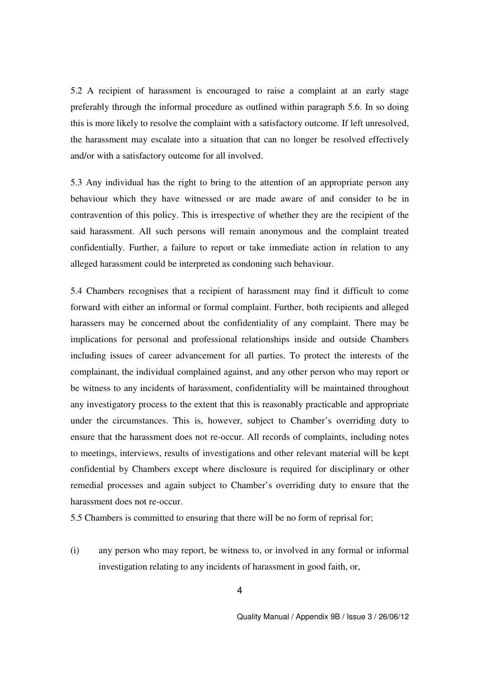5.2 A recipient of harassment is encouraged to raise a complaint at an early stage preferably through the informal procedure as outlined within paragraph 5.6. In so doing this is more likely to resolve the complaint with a satisfactory outcome. If left unresolved, the harassment may escalate into a situation that can no longer be resolved effectively and/or with a satisfactory outcome for all involved.

5.3 Any individual has the right to bring to the attention of an appropriate person any behaviour which they have witnessed or are made aware of and consider to be in contravention of this policy. This is irrespective of whether they are the recipient of the said harassment. All such persons will remain anonymous and the complaint treated confidentially. Further, a failure to report or take immediate action in relation to any alleged harassment could be interpreted as condoning such behaviour.

5.4 Chambers recognises that a recipient of harassment may find it difficult to come forward with either an informal or formal complaint. Further, both recipients and alleged harassers may be concerned about the confidentiality of any complaint. There may be implications for personal and professional relationships inside and outside Chambers including issues of career advancement for all parties. To protect the interests of the complainant, the individual complained against, and any other person who may report or be witness to any incidents of harassment, confidentiality will be maintained throughout any investigatory process to the extent that this is reasonably practicable and appropriate under the circumstances. This is, however, subject to Chamber's overriding duty to ensure that the harassment does not re-occur. All records of complaints, including notes to meetings, interviews, results of investigations and other relevant material will be kept confidential by Chambers except where disclosure is required for disciplinary or other remedial processes and again subject to Chamber's overriding duty to ensure that the harassment does not re-occur.

5.5 Chambers is committed to ensuring that there will be no form of reprisal for;

(i) any person who may report, be witness to, or involved in any formal or informal investigation relating to any incidents of harassment in good faith, or,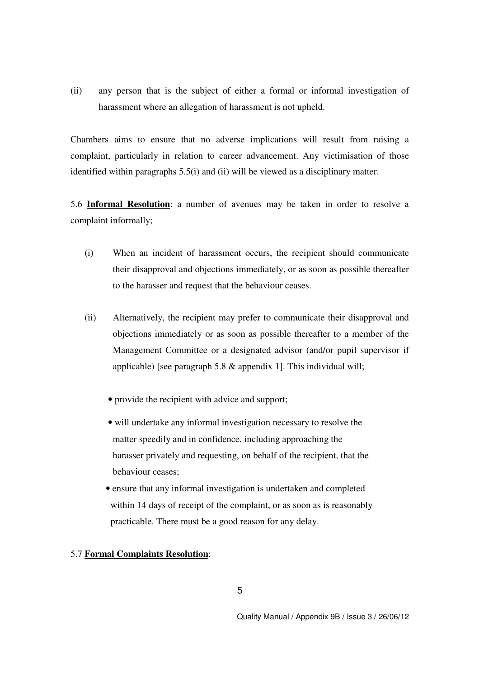(ii) any person that is the subject of either a formal or informal investigation of harassment where an allegation of harassment is not upheld.

Chambers aims to ensure that no adverse implications will result from raising a complaint, particularly in relation to career advancement. Any victimisation of those identified within paragraphs 5.5(i) and (ii) will be viewed as a disciplinary matter.

5.6 **Informal Resolution**: a number of avenues may be taken in order to resolve a complaint informally;

- (i) When an incident of harassment occurs, the recipient should communicate their disapproval and objections immediately, or as soon as possible thereafter to the harasser and request that the behaviour ceases.
- (ii) Alternatively, the recipient may prefer to communicate their disapproval and objections immediately or as soon as possible thereafter to a member of the Management Committee or a designated advisor (and/or pupil supervisor if applicable) [see paragraph 5.8 & appendix 1]. This individual will;
	- provide the recipient with advice and support;
	- will undertake any informal investigation necessary to resolve the matter speedily and in confidence, including approaching the harasser privately and requesting, on behalf of the recipient, that the behaviour ceases;
	- ensure that any informal investigation is undertaken and completed within 14 days of receipt of the complaint, or as soon as is reasonably practicable. There must be a good reason for any delay.

#### 5.7 **Formal Complaints Resolution**: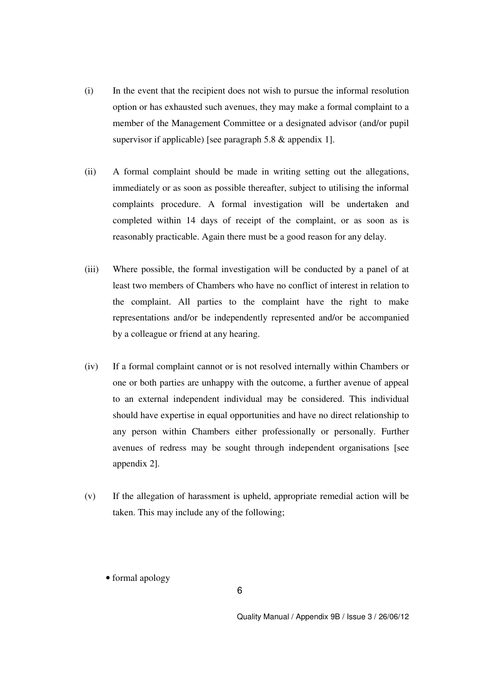- (i) In the event that the recipient does not wish to pursue the informal resolution option or has exhausted such avenues, they may make a formal complaint to a member of the Management Committee or a designated advisor (and/or pupil supervisor if applicable) [see paragraph 5.8 & appendix 1].
- (ii) A formal complaint should be made in writing setting out the allegations, immediately or as soon as possible thereafter, subject to utilising the informal complaints procedure. A formal investigation will be undertaken and completed within 14 days of receipt of the complaint, or as soon as is reasonably practicable. Again there must be a good reason for any delay.
- (iii) Where possible, the formal investigation will be conducted by a panel of at least two members of Chambers who have no conflict of interest in relation to the complaint. All parties to the complaint have the right to make representations and/or be independently represented and/or be accompanied by a colleague or friend at any hearing.
- (iv) If a formal complaint cannot or is not resolved internally within Chambers or one or both parties are unhappy with the outcome, a further avenue of appeal to an external independent individual may be considered. This individual should have expertise in equal opportunities and have no direct relationship to any person within Chambers either professionally or personally. Further avenues of redress may be sought through independent organisations [see appendix 2].
- (v) If the allegation of harassment is upheld, appropriate remedial action will be taken. This may include any of the following;
	- formal apology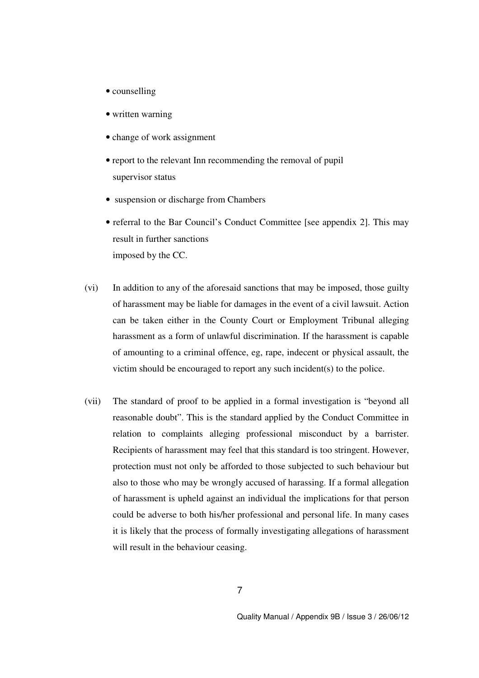- counselling
- written warning
- change of work assignment
- report to the relevant Inn recommending the removal of pupil supervisor status
- suspension or discharge from Chambers
- referral to the Bar Council's Conduct Committee [see appendix 2]. This may result in further sanctions imposed by the CC.
- (vi) In addition to any of the aforesaid sanctions that may be imposed, those guilty of harassment may be liable for damages in the event of a civil lawsuit. Action can be taken either in the County Court or Employment Tribunal alleging harassment as a form of unlawful discrimination. If the harassment is capable of amounting to a criminal offence, eg, rape, indecent or physical assault, the victim should be encouraged to report any such incident(s) to the police.
- (vii) The standard of proof to be applied in a formal investigation is "beyond all reasonable doubt". This is the standard applied by the Conduct Committee in relation to complaints alleging professional misconduct by a barrister. Recipients of harassment may feel that this standard is too stringent. However, protection must not only be afforded to those subjected to such behaviour but also to those who may be wrongly accused of harassing. If a formal allegation of harassment is upheld against an individual the implications for that person could be adverse to both his/her professional and personal life. In many cases it is likely that the process of formally investigating allegations of harassment will result in the behaviour ceasing.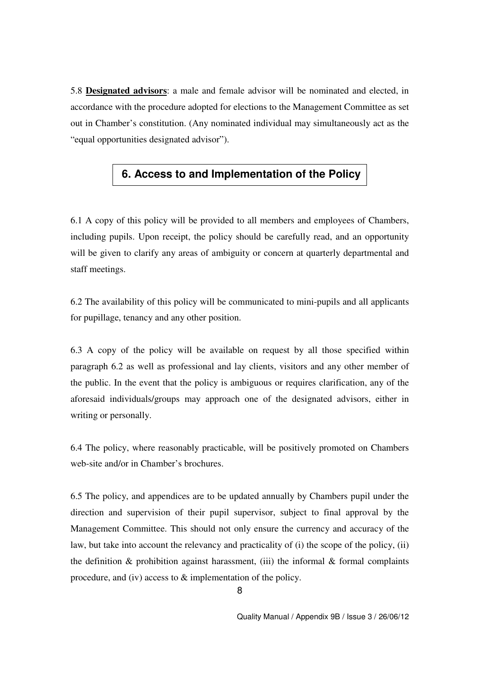5.8 **Designated advisors**: a male and female advisor will be nominated and elected, in accordance with the procedure adopted for elections to the Management Committee as set out in Chamber's constitution. (Any nominated individual may simultaneously act as the "equal opportunities designated advisor").

## **6. Access to and Implementation of the Policy**

6.1 A copy of this policy will be provided to all members and employees of Chambers, including pupils. Upon receipt, the policy should be carefully read, and an opportunity will be given to clarify any areas of ambiguity or concern at quarterly departmental and staff meetings.

6.2 The availability of this policy will be communicated to mini-pupils and all applicants for pupillage, tenancy and any other position.

6.3 A copy of the policy will be available on request by all those specified within paragraph 6.2 as well as professional and lay clients, visitors and any other member of the public. In the event that the policy is ambiguous or requires clarification, any of the aforesaid individuals/groups may approach one of the designated advisors, either in writing or personally.

6.4 The policy, where reasonably practicable, will be positively promoted on Chambers web-site and/or in Chamber's brochures.

6.5 The policy, and appendices are to be updated annually by Chambers pupil under the direction and supervision of their pupil supervisor, subject to final approval by the Management Committee. This should not only ensure the currency and accuracy of the law, but take into account the relevancy and practicality of (i) the scope of the policy, (ii) the definition  $\&$  prohibition against harassment, (iii) the informal  $\&$  formal complaints procedure, and (iv) access to & implementation of the policy.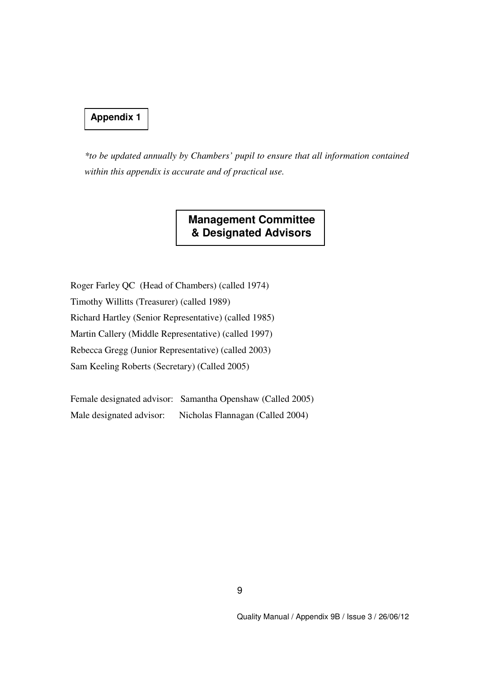#### **Appendix 1**

*\*to be updated annually by Chambers' pupil to ensure that all information contained within this appendix is accurate and of practical use.* 

#### **Management Committee & Designated Advisors**

Roger Farley QC (Head of Chambers) (called 1974) Timothy Willitts (Treasurer) (called 1989) Richard Hartley (Senior Representative) (called 1985) Martin Callery (Middle Representative) (called 1997) Rebecca Gregg (Junior Representative) (called 2003) Sam Keeling Roberts (Secretary) (Called 2005)

Female designated advisor: Samantha Openshaw (Called 2005) Male designated advisor: Nicholas Flannagan (Called 2004)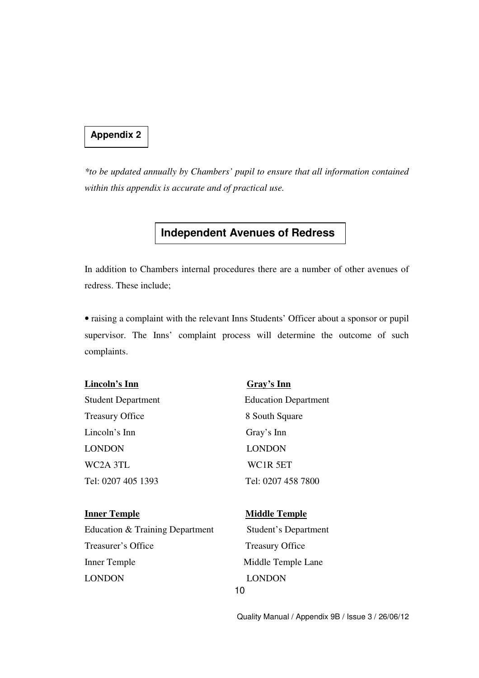#### **Appendix 2**

*\*to be updated annually by Chambers' pupil to ensure that all information contained within this appendix is accurate and of practical use.* 

### **Independent Avenues of Redress**

In addition to Chambers internal procedures there are a number of other avenues of redress. These include;

• raising a complaint with the relevant Inns Students' Officer about a sponsor or pupil supervisor. The Inns' complaint process will determine the outcome of such complaints.

#### Lincoln's Inn Gray's Inn

Treasury Office 8 South Square Lincoln's Inn Gray's Inn LONDON LONDON WC2A 3TL WC1R 5ET

Student Department Education Department Tel: 0207 405 1393 Tel: 0207 458 7800

## **Inner Temple Middle Temple** Education & Training Department Student's Department Treasurer's Office Treasury Office Inner Temple Middle Temple Lane LONDON LONDON

10

Quality Manual / Appendix 9B / Issue 3 / 26/06/12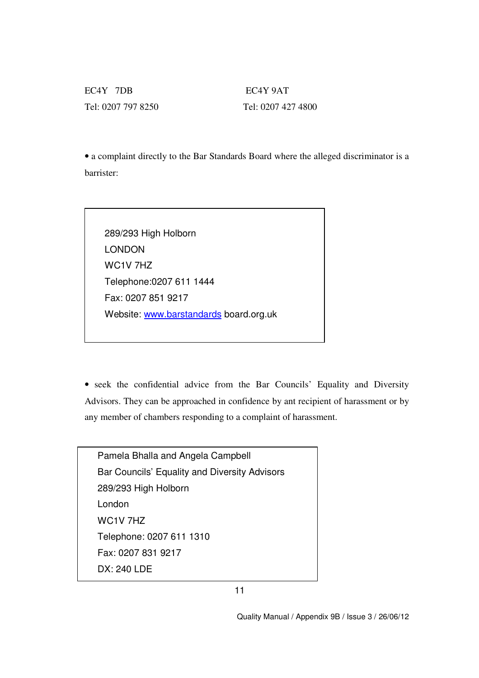EC4Y 7DB EC4Y 9AT

Tel: 0207 797 8250 Tel: 0207 427 4800

• a complaint directly to the Bar Standards Board where the alleged discriminator is a barrister:

289/293 High Holborn LONDON WC1V 7HZ Telephone:0207 611 1444 Fax: 0207 851 9217 Website: www.barstandards board.org.uk

• seek the confidential advice from the Bar Councils' Equality and Diversity Advisors. They can be approached in confidence by ant recipient of harassment or by any member of chambers responding to a complaint of harassment.

Pamela Bhalla and Angela Campbell Bar Councils' Equality and Diversity Advisors 289/293 High Holborn London WC1V 7HZ Telephone: 0207 611 1310 Fax: 0207 831 9217 DX: 240 LDE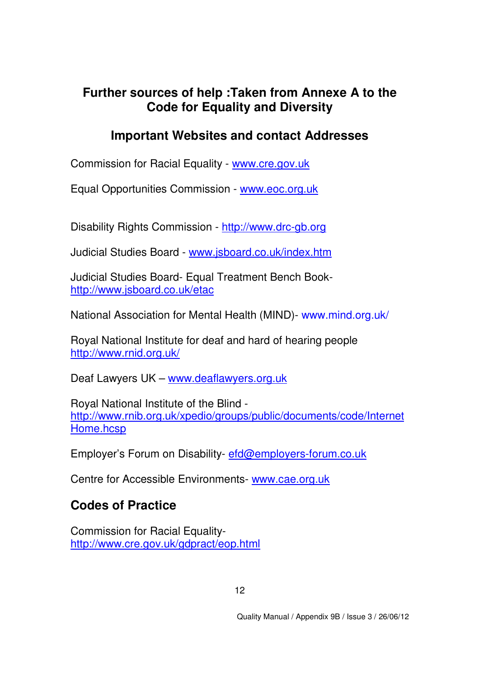## **Further sources of help :Taken from Annexe A to the Code for Equality and Diversity**

## **Important Websites and contact Addresses**

Commission for Racial Equality - www.cre.gov.uk

Equal Opportunities Commission - www.eoc.org.uk

Disability Rights Commission - http://www.drc-gb.org

Judicial Studies Board - www.jsboard.co.uk/index.htm

Judicial Studies Board- Equal Treatment Bench Bookhttp://www.jsboard.co.uk/etac

National Association for Mental Health (MIND)- www.mind.org.uk/

Royal National Institute for deaf and hard of hearing people http://www.rnid.org.uk/

Deaf Lawyers UK – www.deaflawyers.org.uk

Royal National Institute of the Blind http://www.rnib.org.uk/xpedio/groups/public/documents/code/Internet Home.hcsp

Employer's Forum on Disability- efd@employers-forum.co.uk

Centre for Accessible Environments- www.cae.org.uk

# **Codes of Practice**

Commission for Racial Equalityhttp://www.cre.gov.uk/gdpract/eop.html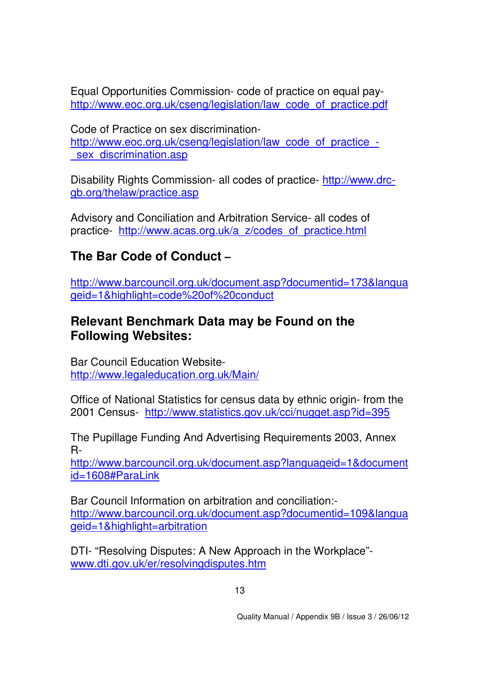Equal Opportunities Commission- code of practice on equal payhttp://www.eoc.org.uk/cseng/legislation/law\_code\_of\_practice.pdf

Code of Practice on sex discriminationhttp://www.eoc.org.uk/cseng/legislation/law\_code\_of\_practice\_sex discrimination.asp

Disability Rights Commission- all codes of practice- http://www.drcgb.org/thelaw/practice.asp

Advisory and Conciliation and Arbitration Service- all codes of practice- http://www.acas.org.uk/a\_z/codes\_of\_practice.html

# **The Bar Code of Conduct –**

http://www.barcouncil.org.uk/document.asp?documentid=173&langua geid=1&highlight=code%20of%20conduct

## **Relevant Benchmark Data may be Found on the Following Websites:**

Bar Council Education Websitehttp://www.legaleducation.org.uk/Main/

Office of National Statistics for census data by ethnic origin- from the 2001 Census- http://www.statistics.gov.uk/cci/nugget.asp?id=395

The Pupillage Funding And Advertising Requirements 2003, Annex R-

http://www.barcouncil.org.uk/document.asp?languageid=1&document id=1608#ParaLink

Bar Council Information on arbitration and conciliation: http://www.barcouncil.org.uk/document.asp?documentid=109&langua geid=1&highlight=arbitration

DTI- "Resolving Disputes: A New Approach in the Workplace" www.dti.gov.uk/er/resolvingdisputes.htm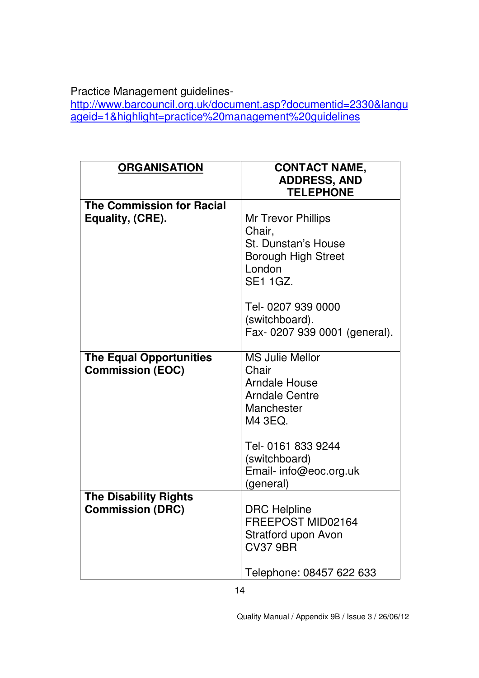Practice Management guidelines-

http://www.barcouncil.org.uk/document.asp?documentid=2330&langu ageid=1&highlight=practice%20management%20guidelines

| <b>ORGANISATION</b>                                       | <b>CONTACT NAME,</b><br><b>ADDRESS, AND</b><br><b>TELEPHONE</b>                                                                                                                         |
|-----------------------------------------------------------|-----------------------------------------------------------------------------------------------------------------------------------------------------------------------------------------|
| <b>The Commission for Racial</b><br>Equality, (CRE).      | Mr Trevor Phillips<br>Chair,<br>St. Dunstan's House<br><b>Borough High Street</b><br>London<br><b>SE1 1GZ.</b><br>Tel-02079390000<br>(switchboard).<br>Fax-0207 939 0001 (general).     |
| <b>The Equal Opportunities</b><br><b>Commission (EOC)</b> | <b>MS Julie Mellor</b><br>Chair<br><b>Arndale House</b><br><b>Arndale Centre</b><br>Manchester<br>M4 3EQ.<br>Tel- 0161 833 9244<br>(switchboard)<br>Email- info@eoc.org.uk<br>(general) |
| <b>The Disability Rights</b><br><b>Commission (DRC)</b>   | <b>DRC</b> Helpline<br>FREEPOST MID02164<br>Stratford upon Avon<br><b>CV37 9BR</b><br>Telephone: 08457 622 633                                                                          |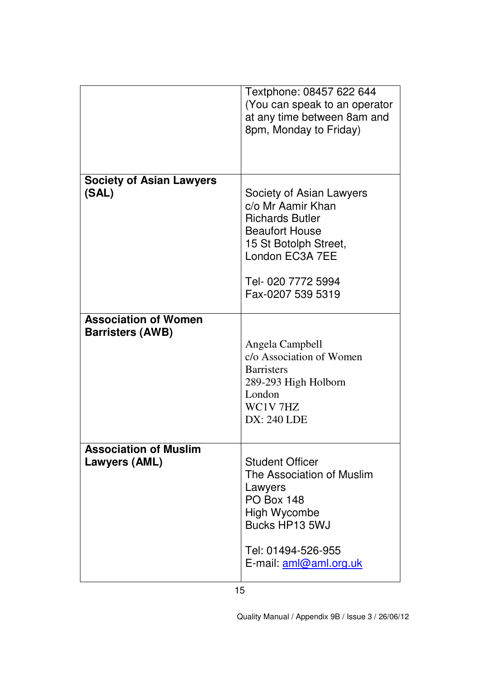|                                                        | Textphone: 08457 622 644<br>(You can speak to an operator<br>at any time between 8am and<br>8pm, Monday to Friday)                                                                     |
|--------------------------------------------------------|----------------------------------------------------------------------------------------------------------------------------------------------------------------------------------------|
| <b>Society of Asian Lawyers</b><br>(SAL)               | Society of Asian Lawyers<br>c/o Mr Aamir Khan<br><b>Richards Butler</b><br><b>Beaufort House</b><br>15 St Botolph Street,<br>London EC3A 7EE<br>Tel-020 7772 5994<br>Fax-0207 539 5319 |
| <b>Association of Women</b><br><b>Barristers (AWB)</b> | Angela Campbell<br>c/o Association of Women<br><b>Barristers</b><br>289-293 High Holborn<br>London<br>WC1V7HZ<br><b>DX: 240 LDE</b>                                                    |
| <b>Association of Muslim</b><br>Lawyers (AML)          | <b>Student Officer</b><br>The Association of Muslim<br>Lawyers<br><b>PO Box 148</b><br>High Wycombe<br>Bucks HP13 5WJ<br>Tel: 01494-526-955<br>E-mail: aml@aml.org.uk                  |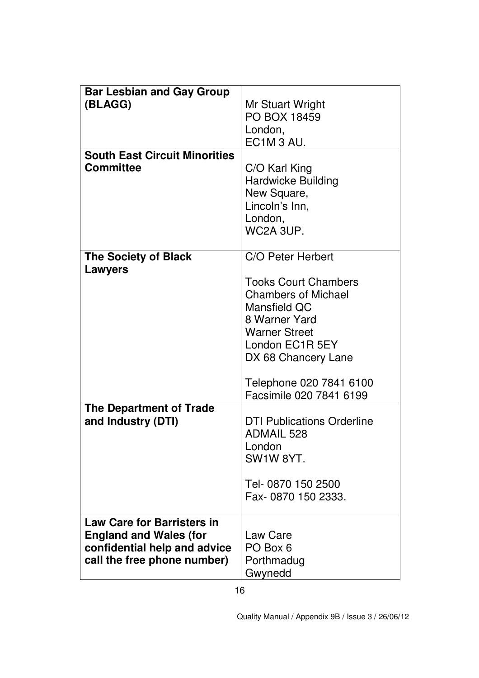| <b>Bar Lesbian and Gay Group</b>     |                                   |
|--------------------------------------|-----------------------------------|
|                                      |                                   |
| (BLAGG)                              | Mr Stuart Wright                  |
|                                      | <b>PO BOX 18459</b>               |
|                                      | London,                           |
|                                      | EC1M 3 AU.                        |
|                                      |                                   |
| <b>South East Circuit Minorities</b> |                                   |
| <b>Committee</b>                     | C/O Karl King                     |
|                                      | <b>Hardwicke Building</b>         |
|                                      | New Square,                       |
|                                      |                                   |
|                                      | Lincoln's Inn,                    |
|                                      | London,                           |
|                                      | WC2A 3UP.                         |
|                                      |                                   |
|                                      |                                   |
| <b>The Society of Black</b>          | C/O Peter Herbert                 |
| <b>Lawyers</b>                       |                                   |
|                                      | <b>Tooks Court Chambers</b>       |
|                                      | <b>Chambers of Michael</b>        |
|                                      |                                   |
|                                      | Mansfield QC                      |
|                                      | 8 Warner Yard                     |
|                                      | <b>Warner Street</b>              |
|                                      | London EC1R 5EY                   |
|                                      |                                   |
|                                      | DX 68 Chancery Lane               |
|                                      | Telephone 020 7841 6100           |
|                                      |                                   |
|                                      | Facsimile 020 7841 6199           |
| <b>The Department of Trade</b>       |                                   |
| and Industry (DTI)                   | <b>DTI Publications Orderline</b> |
|                                      | <b>ADMAIL 528</b>                 |
|                                      |                                   |
|                                      | London                            |
|                                      | SW1W 8YT.                         |
|                                      |                                   |
|                                      | Tel- 0870 150 2500                |
|                                      | Fax-0870 150 2333.                |
|                                      |                                   |
|                                      |                                   |
| <b>Law Care for Barristers in</b>    |                                   |
| <b>England and Wales (for</b>        | Law Care                          |
| confidential help and advice         | PO Box 6                          |
|                                      |                                   |
| call the free phone number)          | Porthmadug                        |
|                                      | Gwynedd                           |